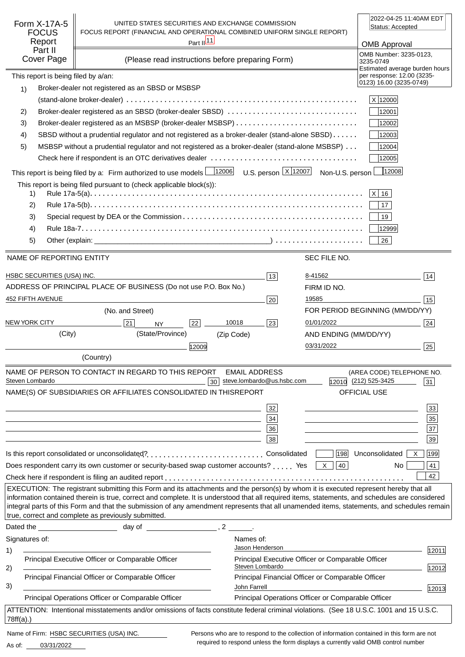| Form X-17A-5<br><b>FOCUS</b><br>Report<br>Part II<br><b>Cover Page</b>                                                                                                                                                                                                                                                                                                                                                                                                                        | UNITED STATES SECURITIES AND EXCHANGE COMMISSION<br>FOCUS REPORT (FINANCIAL AND OPERATIONAL COMBINED UNIFORM SINGLE REPORT)<br>Part $\frac{ 11 }{2}$<br>(Please read instructions before preparing Form)                      |             | 2022-04-25 11:40AM EDT<br>Status: Accepted<br><b>OMB Approval</b><br>OMB Number: 3235-0123,<br>3235-0749 |                                                    |                                                                                         |       |
|-----------------------------------------------------------------------------------------------------------------------------------------------------------------------------------------------------------------------------------------------------------------------------------------------------------------------------------------------------------------------------------------------------------------------------------------------------------------------------------------------|-------------------------------------------------------------------------------------------------------------------------------------------------------------------------------------------------------------------------------|-------------|----------------------------------------------------------------------------------------------------------|----------------------------------------------------|-----------------------------------------------------------------------------------------|-------|
| This report is being filed by a/an:<br>1)                                                                                                                                                                                                                                                                                                                                                                                                                                                     | Broker-dealer not registered as an SBSD or MSBSP                                                                                                                                                                              |             |                                                                                                          |                                                    | Estimated average burden hours<br>per response: 12.00 (3235-<br>0123) 16.00 (3235-0749) |       |
|                                                                                                                                                                                                                                                                                                                                                                                                                                                                                               |                                                                                                                                                                                                                               |             |                                                                                                          |                                                    | X 12000                                                                                 |       |
| 2)                                                                                                                                                                                                                                                                                                                                                                                                                                                                                            | Broker-dealer registered as an SBSD (broker-dealer SBSD)                                                                                                                                                                      |             |                                                                                                          |                                                    | 12001                                                                                   |       |
| 3)                                                                                                                                                                                                                                                                                                                                                                                                                                                                                            |                                                                                                                                                                                                                               |             |                                                                                                          |                                                    | 12002                                                                                   |       |
| 4)                                                                                                                                                                                                                                                                                                                                                                                                                                                                                            | SBSD without a prudential regulator and not registered as a broker-dealer (stand-alone SBSD)                                                                                                                                  |             |                                                                                                          |                                                    | 12003                                                                                   |       |
| 5)                                                                                                                                                                                                                                                                                                                                                                                                                                                                                            | MSBSP without a prudential regulator and not registered as a broker-dealer (stand-alone MSBSP)                                                                                                                                |             |                                                                                                          |                                                    | 12004                                                                                   |       |
|                                                                                                                                                                                                                                                                                                                                                                                                                                                                                               |                                                                                                                                                                                                                               |             |                                                                                                          |                                                    | 12005                                                                                   |       |
|                                                                                                                                                                                                                                                                                                                                                                                                                                                                                               |                                                                                                                                                                                                                               |             |                                                                                                          |                                                    | 12008                                                                                   |       |
|                                                                                                                                                                                                                                                                                                                                                                                                                                                                                               | This report is being filed by a: Firm authorized to use models $\frac{12006}{12006}$ U.S. person $\frac{X}{12007}$ Non-U.S. person                                                                                            |             |                                                                                                          |                                                    |                                                                                         |       |
| 1)                                                                                                                                                                                                                                                                                                                                                                                                                                                                                            | This report is being filed pursuant to (check applicable block(s)):                                                                                                                                                           |             |                                                                                                          |                                                    | $ X $ 16                                                                                |       |
| 2)                                                                                                                                                                                                                                                                                                                                                                                                                                                                                            |                                                                                                                                                                                                                               |             |                                                                                                          |                                                    | 17 <sup>°</sup>                                                                         |       |
| 3)                                                                                                                                                                                                                                                                                                                                                                                                                                                                                            |                                                                                                                                                                                                                               |             |                                                                                                          |                                                    | 19                                                                                      |       |
| 4)                                                                                                                                                                                                                                                                                                                                                                                                                                                                                            |                                                                                                                                                                                                                               |             |                                                                                                          |                                                    | 12999                                                                                   |       |
| 5)                                                                                                                                                                                                                                                                                                                                                                                                                                                                                            |                                                                                                                                                                                                                               |             |                                                                                                          |                                                    | 26                                                                                      |       |
|                                                                                                                                                                                                                                                                                                                                                                                                                                                                                               |                                                                                                                                                                                                                               |             |                                                                                                          |                                                    |                                                                                         |       |
| NAME OF REPORTING ENTITY                                                                                                                                                                                                                                                                                                                                                                                                                                                                      |                                                                                                                                                                                                                               |             |                                                                                                          | SEC FILE NO.                                       |                                                                                         |       |
| HSBC SECURITIES (USA) INC.                                                                                                                                                                                                                                                                                                                                                                                                                                                                    |                                                                                                                                                                                                                               |             | 13                                                                                                       | 8-41562                                            |                                                                                         | 14    |
|                                                                                                                                                                                                                                                                                                                                                                                                                                                                                               | ADDRESS OF PRINCIPAL PLACE OF BUSINESS (Do not use P.O. Box No.)                                                                                                                                                              |             |                                                                                                          | FIRM ID NO.                                        |                                                                                         |       |
| 452 FIFTH AVENUE                                                                                                                                                                                                                                                                                                                                                                                                                                                                              |                                                                                                                                                                                                                               |             | 20                                                                                                       | 19585                                              |                                                                                         | 15    |
|                                                                                                                                                                                                                                                                                                                                                                                                                                                                                               | (No. and Street)                                                                                                                                                                                                              |             |                                                                                                          |                                                    | FOR PERIOD BEGINNING (MM/DD/YY)                                                         |       |
| <b>NEW YORK CITY</b>                                                                                                                                                                                                                                                                                                                                                                                                                                                                          | 21<br><b>NY</b>                                                                                                                                                                                                               | 10018<br>22 | 23                                                                                                       | 01/01/2022                                         |                                                                                         | 24    |
| (City)                                                                                                                                                                                                                                                                                                                                                                                                                                                                                        | (State/Province)                                                                                                                                                                                                              | (Zip Code)  |                                                                                                          | AND ENDING (MM/DD/YY)                              |                                                                                         |       |
|                                                                                                                                                                                                                                                                                                                                                                                                                                                                                               |                                                                                                                                                                                                                               | 12009       |                                                                                                          | 03/31/2022                                         |                                                                                         | 25    |
|                                                                                                                                                                                                                                                                                                                                                                                                                                                                                               | (Country)                                                                                                                                                                                                                     |             |                                                                                                          |                                                    |                                                                                         |       |
|                                                                                                                                                                                                                                                                                                                                                                                                                                                                                               | NAME OF PERSON TO CONTACT IN REGARD TO THIS REPORT                                                                                                                                                                            |             | <b>EMAIL ADDRESS</b>                                                                                     |                                                    | (AREA CODE) TELEPHONE NO.                                                               |       |
| Steven Lombardo                                                                                                                                                                                                                                                                                                                                                                                                                                                                               |                                                                                                                                                                                                                               | 30          | steve.lombardo@us.hsbc.com                                                                               |                                                    | 12010 (212) 525-3425                                                                    | 31    |
|                                                                                                                                                                                                                                                                                                                                                                                                                                                                                               | NAME(S) OF SUBSIDIARIES OR AFFILIATES CONSOLIDATED IN THIS                                                                                                                                                                    |             | <b>REPORT</b>                                                                                            |                                                    | OFFICIAL USE                                                                            |       |
|                                                                                                                                                                                                                                                                                                                                                                                                                                                                                               |                                                                                                                                                                                                                               |             | 32                                                                                                       |                                                    |                                                                                         | 33    |
|                                                                                                                                                                                                                                                                                                                                                                                                                                                                                               | and the control of the control of the control of the control of the control of the control of the control of the                                                                                                              |             | 34                                                                                                       |                                                    | <u> 1989 - Johann Stein, mars an deus an deus Amerikaansk kommunister (</u>             | 35    |
|                                                                                                                                                                                                                                                                                                                                                                                                                                                                                               | and the control of the control of the control of the control of the control of the control of the control of the                                                                                                              |             | 36                                                                                                       |                                                    |                                                                                         | 37    |
|                                                                                                                                                                                                                                                                                                                                                                                                                                                                                               |                                                                                                                                                                                                                               |             | 38                                                                                                       |                                                    |                                                                                         | 39    |
|                                                                                                                                                                                                                                                                                                                                                                                                                                                                                               | Is this report consolidated or unconsolidated?Consolidated                                                                                                                                                                    |             |                                                                                                          |                                                    | $ 198 $ Unconsolidated $ X $                                                            | 199   |
|                                                                                                                                                                                                                                                                                                                                                                                                                                                                                               | Does respondent carry its own customer or security-based swap customer accounts?  Yes $\boxed{\times}$                                                                                                                        |             |                                                                                                          | 40                                                 | No.                                                                                     | 41    |
|                                                                                                                                                                                                                                                                                                                                                                                                                                                                                               |                                                                                                                                                                                                                               |             |                                                                                                          |                                                    |                                                                                         | 42    |
| EXECUTION: The registrant submitting this Form and its attachments and the person(s) by whom it is executed represent hereby that all<br>information contained therein is true, correct and complete. It is understood that all required items, statements, and schedules are considered<br>integral parts of this Form and that the submission of any amendment represents that all unamended items, statements, and schedules remain<br>true, correct and complete as previously submitted. |                                                                                                                                                                                                                               |             |                                                                                                          |                                                    |                                                                                         |       |
|                                                                                                                                                                                                                                                                                                                                                                                                                                                                                               | Dated the day of the state of the state of the state of the state of the state of the state of the state of the state of the state of the state of the state of the state of the state of the state of the state of the state |             |                                                                                                          |                                                    |                                                                                         |       |
| Signatures of:                                                                                                                                                                                                                                                                                                                                                                                                                                                                                |                                                                                                                                                                                                                               |             | Names of:                                                                                                |                                                    |                                                                                         |       |
| 1)                                                                                                                                                                                                                                                                                                                                                                                                                                                                                            |                                                                                                                                                                                                                               |             | Jason Henderson                                                                                          |                                                    |                                                                                         | 12011 |
| 2)                                                                                                                                                                                                                                                                                                                                                                                                                                                                                            | Principal Executive Officer or Comparable Officer<br>Principal Financial Officer or Comparable Officer                                                                                                                        |             | Steven Lombardo                                                                                          | Principal Executive Officer or Comparable Officer  |                                                                                         | 12012 |
| 3)                                                                                                                                                                                                                                                                                                                                                                                                                                                                                            |                                                                                                                                                                                                                               |             | John Farrell                                                                                             | Principal Financial Officer or Comparable Officer  |                                                                                         | 12013 |
|                                                                                                                                                                                                                                                                                                                                                                                                                                                                                               | Principal Operations Officer or Comparable Officer                                                                                                                                                                            |             |                                                                                                          | Principal Operations Officer or Comparable Officer |                                                                                         |       |
| $78ff(a)$ .)                                                                                                                                                                                                                                                                                                                                                                                                                                                                                  | ATTENTION: Intentional misstatements and/or omissions of facts constitute federal criminal violations. (See 18 U.S.C. 1001 and 15 U.S.C.                                                                                      |             |                                                                                                          |                                                    |                                                                                         |       |
| Name of Firm: HSBC SECURITIES (USA) INC.<br>Persons who are to respond to the collection of information contained in this form are not                                                                                                                                                                                                                                                                                                                                                        |                                                                                                                                                                                                                               |             |                                                                                                          |                                                    |                                                                                         |       |

03/31/2022 As of:

required to respond unless the form displays a currently valid OMB control number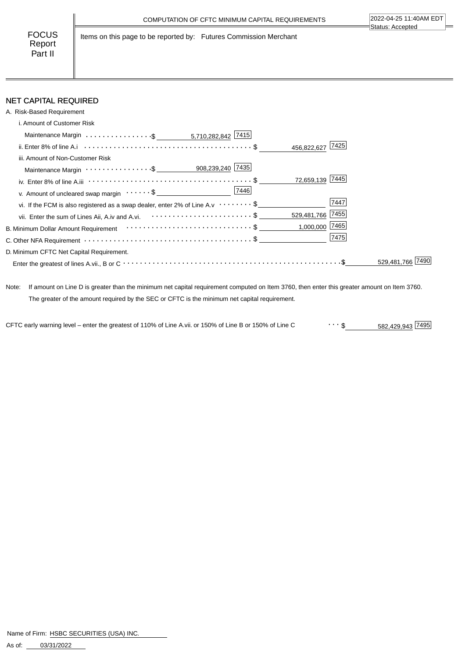FOCUS Report Part II

Items on this page to be reported by: Futures Commission Merchant

# NET CAPITAL REQUIRED

| A. Risk-Based Requirement                                                                                               |                     |             |
|-------------------------------------------------------------------------------------------------------------------------|---------------------|-------------|
| i. Amount of Customer Risk                                                                                              |                     |             |
|                                                                                                                         |                     |             |
|                                                                                                                         | 7425<br>456,822,627 |             |
| iii. Amount of Non-Customer Risk                                                                                        |                     |             |
| Maintenance Margin ················ \$ ____________ 908,239,240 7435                                                    |                     |             |
| iv. Enter 8% of line A.iii $\cdots \cdots \cdots \cdots \cdots \cdots \cdots \cdots \cdots \cdots \cdots \cdots \cdots$ | 72,659,139 7445     |             |
| v. Amount of uncleared swap margin $\cdots \cdots$ \$                                                                   |                     |             |
| vi. If the FCM is also registered as a swap dealer, enter 2% of Line A.v $\cdots \cdots$ \$                             | 7447                |             |
| vii. Enter the sum of Lines Aii, A.iv and A.vi. <b>For all acts of the State State Air Acts</b>                         | 529,481,766 7455    |             |
| B. Minimum Dollar Amount Requirement $\cdots\cdots\cdots\cdots\cdots\cdots\cdots\cdots\cdots\cdots\cdots$               | $1,000,000$ 7465    |             |
| C. Other NFA Requirement $\cdots \cdots \cdots \cdots \cdots \cdots \cdots \cdots \cdots \cdots \cdots \$               | 7475                |             |
| D. Minimum CFTC Net Capital Requirement.                                                                                |                     |             |
|                                                                                                                         |                     | 529.481.766 |
|                                                                                                                         |                     |             |

Note: If amount on Line D is greater than the minimum net capital requirement computed on Item 3760, then enter this greater amount on Item 3760. The greater of the amount required by the SEC or CFTC is the minimum net capital requirement.

582,429,943 \$ CFTC early warning level – enter the greatest of 110% of Line A.vii. or 150% of Line B or 150% of Line C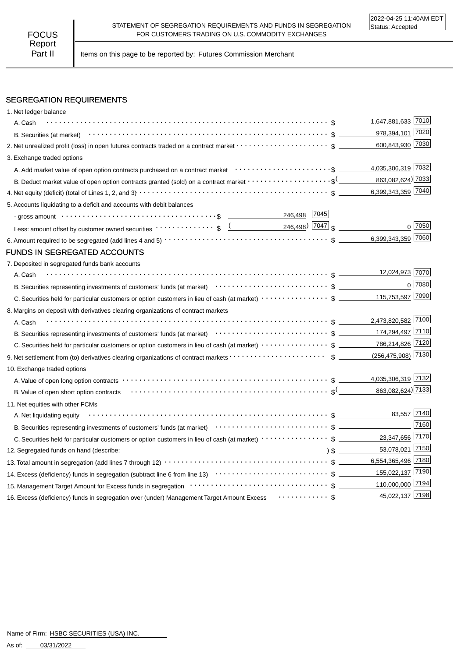Part II | Items on this page to be reported by: Futures Commission Merchant

## SEGREGATION REQUIREMENTS

| 1. Net ledger balance                                                                                                                                                                                                  |                        |             |
|------------------------------------------------------------------------------------------------------------------------------------------------------------------------------------------------------------------------|------------------------|-------------|
| A. Cash                                                                                                                                                                                                                | 1,647,881,633 7010     |             |
| B. Securities (at market) $\cdots$ $\cdots$ $\cdots$ $\cdots$ $\cdots$ $\cdots$ $\cdots$ $\cdots$ $\cdots$ $\cdots$ $\cdots$ $\cdots$ $\cdots$ $\cdots$ $\cdots$                                                       | 978,394,101 7020       |             |
|                                                                                                                                                                                                                        | 600,843,930 7030       |             |
| 3. Exchange traded options                                                                                                                                                                                             |                        |             |
| A. Add market value of open option contracts purchased on a contract market enterative content contents and a                                                                                                          | 4,035,306,319 7032     |             |
| B. Deduct market value of open option contracts granted (sold) on a contract market $\cdots\cdots\cdots\cdots\cdots\cdots$                                                                                             | 863,082,624) 7033      |             |
|                                                                                                                                                                                                                        | 6,399,343,359 7040     |             |
| 5. Accounts liquidating to a deficit and accounts with debit balances                                                                                                                                                  |                        |             |
| 246,498 7045                                                                                                                                                                                                           |                        |             |
| Less: amount offset by customer owned securities $\cdots \cdots \cdots \cdot$ \$ $\underbrace{(246,498)}$ 7047 \$                                                                                                      |                        | $0^{17050}$ |
|                                                                                                                                                                                                                        | 6,399,343,359 7060     |             |
| <b>FUNDS IN SEGREGATED ACCOUNTS</b>                                                                                                                                                                                    |                        |             |
| 7. Deposited in segregated funds bank accounts                                                                                                                                                                         |                        |             |
| A. Cash                                                                                                                                                                                                                | 12,024,973 7070        |             |
| B. Securities representing investments of customers' funds (at market)<br>expansive to the content of the securities of customers' funds (at market)<br>$\cdots$ $\cdots$ $\cdots$ $\ddots$ $\cdots$ $\ddots$ $\cdots$ |                        | $0$ 7080    |
|                                                                                                                                                                                                                        | 115,753,597 7090       |             |
| 8. Margins on deposit with derivatives clearing organizations of contract markets                                                                                                                                      |                        |             |
| A. Cash                                                                                                                                                                                                                | 2,473,820,582 7100     |             |
|                                                                                                                                                                                                                        | 174,294,497 7110       |             |
|                                                                                                                                                                                                                        |                        |             |
|                                                                                                                                                                                                                        | $(256, 475, 908)$ 7130 |             |
| 10. Exchange traded options                                                                                                                                                                                            |                        |             |
|                                                                                                                                                                                                                        | 4,035,306,319 7132     |             |
|                                                                                                                                                                                                                        | 863,082,624) 7133      |             |
| 11. Net equities with other FCMs                                                                                                                                                                                       |                        |             |
| A. Net liquidating equity                                                                                                                                                                                              | 83,557 7140            |             |
| B. Securities representing investments of customers' funds (at market)<br>$\cdots$ $\cdots$ $\uparrow$ $\cdots$ $\uparrow$ $\uparrow$ $\qquad$                                                                         |                        | 7160        |
|                                                                                                                                                                                                                        | 23,347,656 7170        |             |
| 12. Segregated funds on hand (describe:                                                                                                                                                                                | 53,078,021 7150        |             |
|                                                                                                                                                                                                                        | 6,554,365,496 7180     |             |
|                                                                                                                                                                                                                        | 155,022,137 7190       |             |
|                                                                                                                                                                                                                        | 110,000,000 7194       |             |
| 16. Excess (deficiency) funds in segregation over (under) Management Target Amount Excess $\cdots\cdots\cdots\cdots$                                                                                                   | 45,022,137 7198        |             |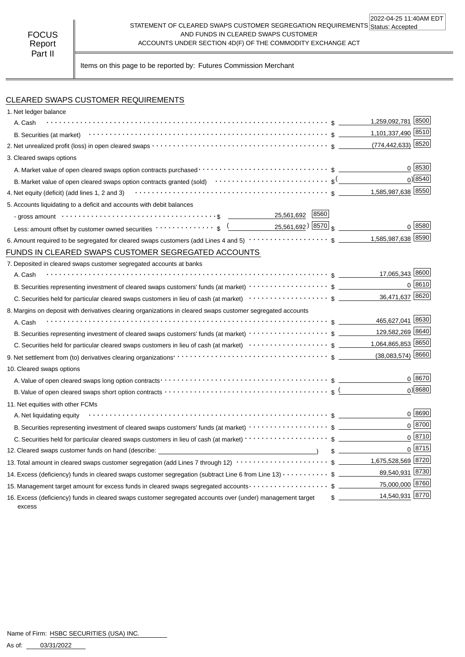#### STATEMENT OF CLEARED SWAPS CUSTOMER SEGREGATION REQUIREMENTS Status: Accepted AND FUNDS IN CLEARED SWAPS CUSTOMER ACCOUNTS UNDER SECTION 4D(F) OF THE COMMODITY EXCHANGE ACT 2022-04-25 11:40AM EDT

Items on this page to be reported by: Futures Commission Merchant

# CLEARED SWAPS CUSTOMER REQUIREMENTS

| 1. Net ledger balance                                                                                                                                       |                                  |                     |
|-------------------------------------------------------------------------------------------------------------------------------------------------------------|----------------------------------|---------------------|
| A. Cash                                                                                                                                                     | 1,259,092,781 8500               |                     |
|                                                                                                                                                             | 1,101,337,490 8510               |                     |
|                                                                                                                                                             | (774,442,633) 8520               |                     |
| 3. Cleared swaps options                                                                                                                                    |                                  |                     |
|                                                                                                                                                             |                                  | 0 8530              |
|                                                                                                                                                             |                                  | $0$ <sup>8540</sup> |
|                                                                                                                                                             |                                  |                     |
| 5. Accounts liquidating to a deficit and accounts with debit balances                                                                                       |                                  |                     |
| 25,561,692 8560                                                                                                                                             |                                  |                     |
| 25,561,692 <u>8570</u> s<br>Less: amount offset by customer owned securities $\cdots \cdots \cdots \cdots$ \$ $($                                           |                                  | 0 8580              |
| 6. Amount required to be segregated for cleared swaps customers (add Lines 4 and 5) $\cdots\cdots\cdots\cdots\cdots\cdots$ \$                               | 1,585,987,638 8590               |                     |
| FUNDS IN CLEARED SWAPS CUSTOMER SEGREGATED ACCOUNTS                                                                                                         |                                  |                     |
| 7. Deposited in cleared swaps customer segregated accounts at banks                                                                                         |                                  |                     |
| A. Cash                                                                                                                                                     | 17,065,343 8600                  |                     |
| B. Securities representing investment of cleared swaps customers' funds (at market) $\cdots\cdots\cdots\cdots\cdots\cdots$ \$                               |                                  | 0 8610              |
|                                                                                                                                                             | 36,471,637 8620                  |                     |
| 8. Margins on deposit with derivatives clearing organizations in cleared swaps customer segregated accounts                                                 |                                  |                     |
| A. Cash                                                                                                                                                     | 465,627,041 8630                 |                     |
| B. Securities representing investment of cleared swaps customers' funds (at market) $\cdots\cdots\cdots\cdots\cdots\cdots$ \$                               | 129,582,269 8640                 |                     |
|                                                                                                                                                             |                                  |                     |
|                                                                                                                                                             | $(38,083,574)$ 8660              |                     |
| 10. Cleared swaps options                                                                                                                                   |                                  |                     |
|                                                                                                                                                             |                                  | $0^{8670}$          |
|                                                                                                                                                             |                                  | $0$ <sup>8680</sup> |
| 11. Net equities with other FCMs                                                                                                                            |                                  |                     |
| A. Net liquidating equity                                                                                                                                   |                                  | 0 8690              |
|                                                                                                                                                             |                                  | 0 8700              |
|                                                                                                                                                             |                                  | $0^{8710}$          |
| 12. Cleared swaps customer funds on hand (describe: _____________________________                                                                           |                                  | 0  8715             |
| 13. Total amount in cleared swaps customer segregation (add Lines 7 through 12) $\cdots\cdots\cdots\cdots\cdots\cdots\cdots$ \$ _________1,675,528,569 8720 |                                  |                     |
| 14. Excess (deficiency) funds in cleared swaps customer segregation (subtract Line 6 from Line 13) $\cdots$ \$                                              | 89,540,931 8730                  |                     |
| 15. Management target amount for excess funds in cleared swaps segregated accounts $\cdots\cdots\cdots\cdots\cdots\quad$ \$                                 | 75,000,000 8760                  |                     |
| 16. Excess (deficiency) funds in cleared swaps customer segregated accounts over (under) management target<br>excess                                        | 14,540,931 8770<br>$\frac{1}{2}$ |                     |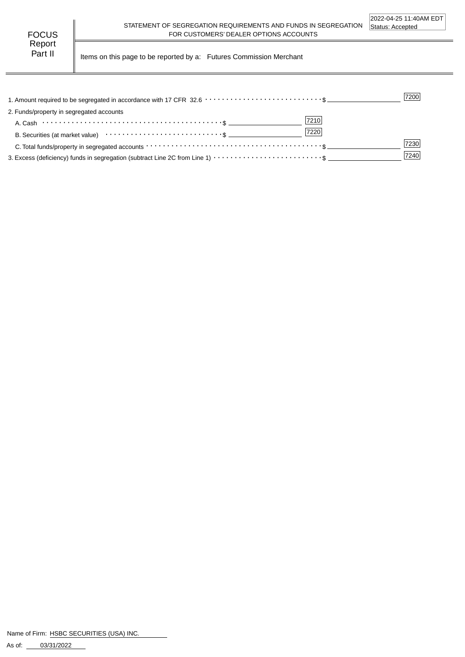Part II | Items on this page to be reported by a: Futures Commission Merchant

|                                                                                                                                      | 7200 |
|--------------------------------------------------------------------------------------------------------------------------------------|------|
| 2. Funds/property in segregated accounts                                                                                             |      |
| 7210                                                                                                                                 |      |
| 7220                                                                                                                                 |      |
| C. Total funds/property in segregated accounts $\cdots \cdots \cdots \cdots \cdots \cdots \cdots \cdots \cdots \cdots \cdots \cdots$ | 7230 |
|                                                                                                                                      | 7240 |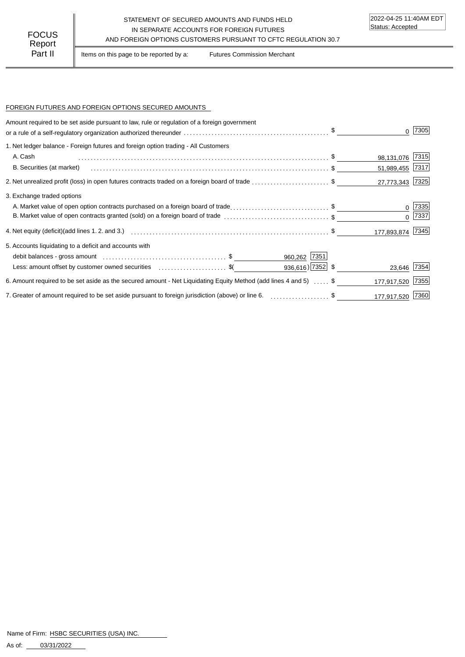### STATEMENT OF SECURED AMOUNTS AND FUNDS HELD IN SEPARATE ACCOUNTS FOR FOREIGN FUTURES FOCUS IN SEPARATE ACCOUNTS FOR FOREIGN FUTURES<br>Report

Part II | Items on this page to be reported by a: Futures Commission Merchant

### FOREIGN FUTURES AND FOREIGN OPTIONS SECURED AMOUNTS

| Amount required to be set aside pursuant to law, rule or regulation of a foreign government                      |                  | 7305       |
|------------------------------------------------------------------------------------------------------------------|------------------|------------|
| 1. Net ledger balance - Foreign futures and foreign option trading - All Customers                               |                  |            |
| A. Cash                                                                                                          | 98,131,076 7315  |            |
| B. Securities (at market)                                                                                        | 51,989,455 7317  |            |
| 2. Net unrealized profit (loss) in open futures contracts traded on a foreign board of trade \$                  | 27,773,343 7325  |            |
| 3. Exchange traded options                                                                                       |                  |            |
| A. Market value of open option contracts purchased on a foreign board of trade\$                                 |                  | $0$  7335  |
| B. Market value of open contracts granted (sold) on a foreign board of trade \$                                  |                  | $0^{7337}$ |
|                                                                                                                  | 177,893,874 7345 |            |
| 5. Accounts liquidating to a deficit and accounts with                                                           |                  |            |
| 960,262 7351                                                                                                     |                  |            |
| $936,616$ ) 7352 \$<br>Less: amount offset by customer owned securities expressed contained and \$               | 23,646 7354      |            |
| 6. Amount required to be set aside as the secured amount - Net Liquidating Equity Method (add lines 4 and 5)  \$ | 177,917,520      | 7355       |
| 7. Greater of amount required to be set aside pursuant to foreign jurisdiction (above) or line 6. \$             | 177,917,520 7360 |            |